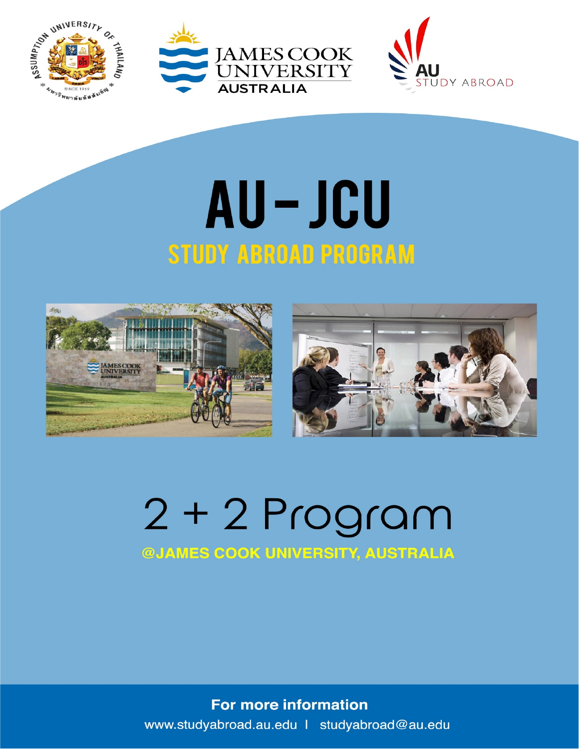





## AU-JCU **STUDY ABROAD PROGRAM**





## $2 + 2$  Program **@JAMES COOK UNIVERSITY, AUSTRALIA**

**For more information** www.studyabroad.au.edu | studyabroad@au.edu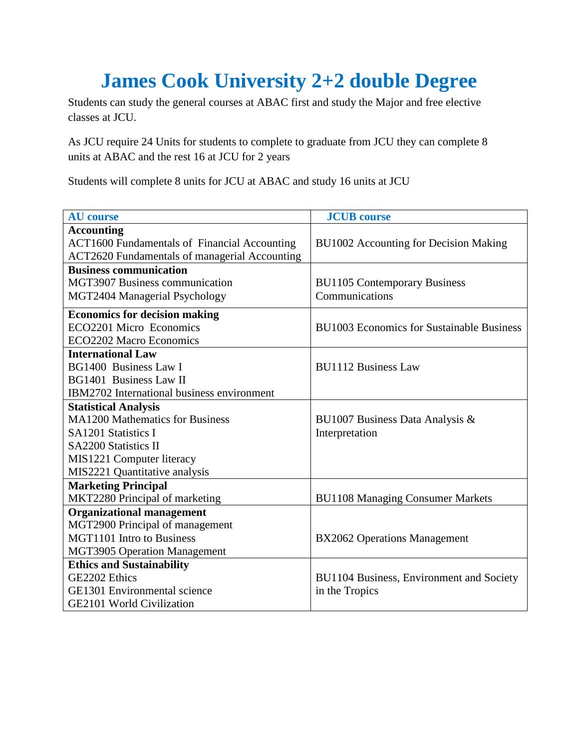## **James Cook University 2+2 double Degree**

Students can study the general courses at ABAC first and study the Major and free elective classes at JCU.

As JCU require 24 Units for students to complete to graduate from JCU they can complete 8 units at ABAC and the rest 16 at JCU for 2 years

Students will complete 8 units for JCU at ABAC and study 16 units at JCU

| <b>AU</b> course                                     | <b>JCUB</b> course                        |  |
|------------------------------------------------------|-------------------------------------------|--|
| <b>Accounting</b>                                    |                                           |  |
| <b>ACT1600 Fundamentals of Financial Accounting</b>  | BU1002 Accounting for Decision Making     |  |
| <b>ACT2620</b> Fundamentals of managerial Accounting |                                           |  |
| <b>Business communication</b>                        |                                           |  |
| <b>MGT3907 Business communication</b>                | <b>BU1105 Contemporary Business</b>       |  |
| MGT2404 Managerial Psychology                        | Communications                            |  |
| <b>Economics for decision making</b>                 |                                           |  |
| ECO2201 Micro Economics                              | BU1003 Economics for Sustainable Business |  |
| <b>ECO2202 Macro Economics</b>                       |                                           |  |
| <b>International Law</b>                             |                                           |  |
| <b>BG1400 Business Law I</b>                         | <b>BU1112 Business Law</b>                |  |
| <b>BG1401</b> Business Law II                        |                                           |  |
| IBM2702 International business environment           |                                           |  |
| <b>Statistical Analysis</b>                          |                                           |  |
| <b>MA1200 Mathematics for Business</b>               | BU1007 Business Data Analysis &           |  |
| SA1201 Statistics I                                  | Interpretation                            |  |
| <b>SA2200 Statistics II</b>                          |                                           |  |
| MIS1221 Computer literacy                            |                                           |  |
| MIS2221 Quantitative analysis                        |                                           |  |
| <b>Marketing Principal</b>                           |                                           |  |
| MKT2280 Principal of marketing                       | <b>BU1108 Managing Consumer Markets</b>   |  |
| <b>Organizational management</b>                     |                                           |  |
| MGT2900 Principal of management                      |                                           |  |
| <b>MGT1101</b> Intro to Business                     | <b>BX2062 Operations Management</b>       |  |
| <b>MGT3905 Operation Management</b>                  |                                           |  |
| <b>Ethics and Sustainability</b>                     |                                           |  |
| GE2202 Ethics                                        | BU1104 Business, Environment and Society  |  |
| <b>GE1301 Environmental science</b>                  | in the Tropics                            |  |
| <b>GE2101 World Civilization</b>                     |                                           |  |